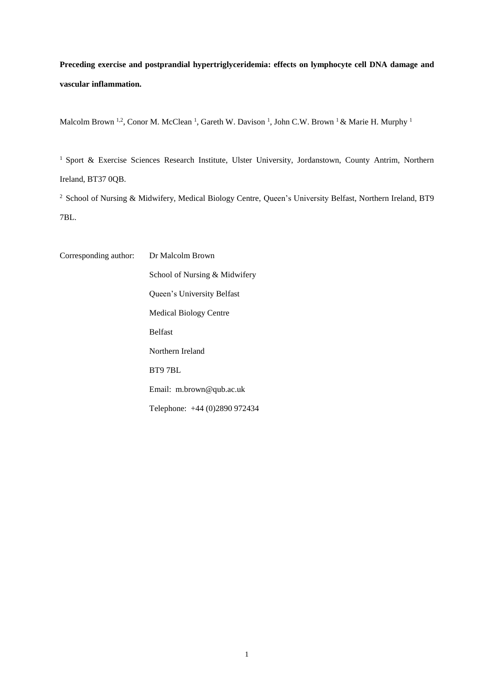**Preceding exercise and postprandial hypertriglyceridemia: effects on lymphocyte cell DNA damage and vascular inflammation.**

Malcolm Brown <sup>1,2</sup>, Conor M. McClean <sup>1</sup>, Gareth W. Davison <sup>1</sup>, John C.W. Brown <sup>1</sup> & Marie H. Murphy <sup>1</sup>

<sup>1</sup> Sport & Exercise Sciences Research Institute, Ulster University, Jordanstown, County Antrim, Northern Ireland, BT37 0QB.

<sup>2</sup> School of Nursing & Midwifery, Medical Biology Centre, Queen's University Belfast, Northern Ireland, BT9 7BL.

Corresponding author: Dr Malcolm Brown School of Nursing & Midwifery Queen's University Belfast Medical Biology Centre Belfast Northern Ireland BT9 7BL Email: m.brown@qub.ac.uk Telephone: +44 (0)2890 972434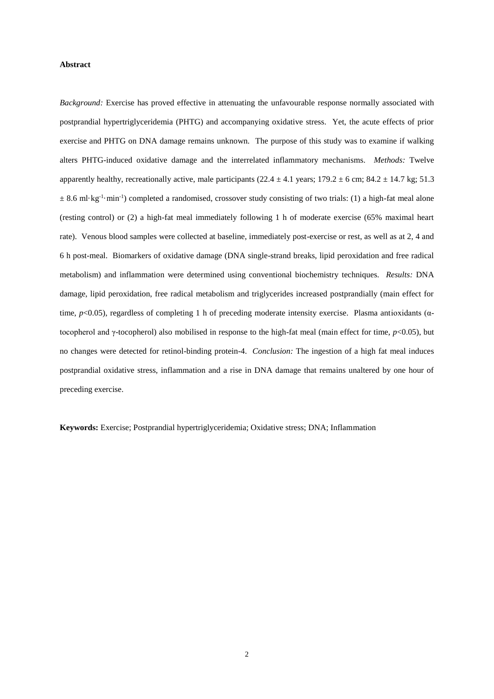## **Abstract**

*Background:* Exercise has proved effective in attenuating the unfavourable response normally associated with postprandial hypertriglyceridemia (PHTG) and accompanying oxidative stress. Yet, the acute effects of prior exercise and PHTG on DNA damage remains unknown. The purpose of this study was to examine if walking alters PHTG-induced oxidative damage and the interrelated inflammatory mechanisms. *Methods:* Twelve apparently healthy, recreationally active, male participants (22.4  $\pm$  4.1 years; 179.2  $\pm$  6 cm; 84.2  $\pm$  14.7 kg; 51.3  $\pm$  8.6 ml·kg<sup>-1</sup>·min<sup>-1</sup>) completed a randomised, crossover study consisting of two trials: (1) a high-fat meal alone (resting control) or (2) a high-fat meal immediately following 1 h of moderate exercise (65% maximal heart rate). Venous blood samples were collected at baseline, immediately post-exercise or rest, as well as at 2, 4 and 6 h post-meal. Biomarkers of oxidative damage (DNA single-strand breaks, lipid peroxidation and free radical metabolism) and inflammation were determined using conventional biochemistry techniques. *Results:* DNA damage, lipid peroxidation, free radical metabolism and triglycerides increased postprandially (main effect for time,  $p<0.05$ ), regardless of completing 1 h of preceding moderate intensity exercise. Plasma antioxidants ( $\alpha$ tocopherol and γ-tocopherol) also mobilised in response to the high-fat meal (main effect for time, *p*<0.05), but no changes were detected for retinol-binding protein-4. *Conclusion:* The ingestion of a high fat meal induces postprandial oxidative stress, inflammation and a rise in DNA damage that remains unaltered by one hour of preceding exercise.

**Keywords:** Exercise; Postprandial hypertriglyceridemia; Oxidative stress; DNA; Inflammation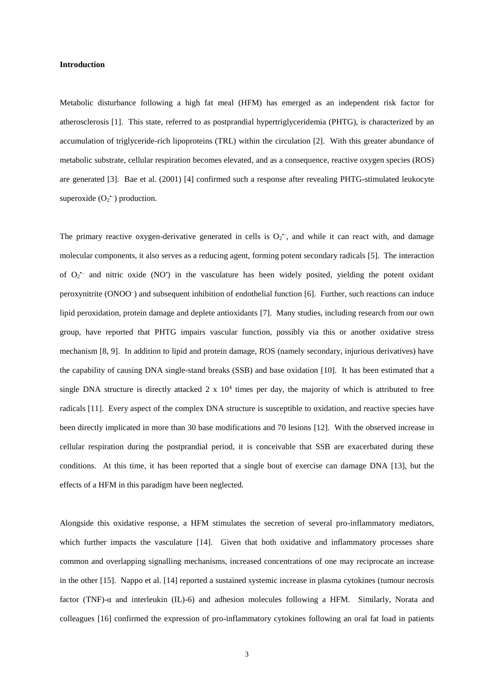## **Introduction**

Metabolic disturbance following a high fat meal (HFM) has emerged as an independent risk factor for atherosclerosis [1]. This state, referred to as postprandial hypertriglyceridemia (PHTG), is characterized by an accumulation of triglyceride-rich lipoproteins (TRL) within the circulation [2]. With this greater abundance of metabolic substrate, cellular respiration becomes elevated, and as a consequence, reactive oxygen species (ROS) are generated [3]. Bae et al. (2001) [4] confirmed such a response after revealing PHTG-stimulated leukocyte superoxide  $(O_2^{\text{-}})$  production.

The primary reactive oxygen-derivative generated in cells is  $O_2$ , and while it can react with, and damage molecular components, it also serves as a reducing agent, forming potent secondary radicals [5]. The interaction of O<sub>2</sub><sup>-</sup> and nitric oxide (NO<sup>\*</sup>) in the vasculature has been widely posited, yielding the potent oxidant peroxynitrite (ONOO<sup>-</sup>) and subsequent inhibition of endothelial function [6]. Further, such reactions can induce lipid peroxidation, protein damage and deplete antioxidants [7]. Many studies, including research from our own group, have reported that PHTG impairs vascular function, possibly via this or another oxidative stress mechanism [8, 9]. In addition to lipid and protein damage, ROS (namely secondary, injurious derivatives) have the capability of causing DNA single-stand breaks (SSB) and base oxidation [10]. It has been estimated that a single DNA structure is directly attacked  $2 \times 10^4$  times per day, the majority of which is attributed to free radicals [11]. Every aspect of the complex DNA structure is susceptible to oxidation, and reactive species have been directly implicated in more than 30 base modifications and 70 lesions [12]. With the observed increase in cellular respiration during the postprandial period, it is conceivable that SSB are exacerbated during these conditions. At this time, it has been reported that a single bout of exercise can damage DNA [13], but the effects of a HFM in this paradigm have been neglected.

Alongside this oxidative response, a HFM stimulates the secretion of several pro-inflammatory mediators, which further impacts the vasculature [14]. Given that both oxidative and inflammatory processes share common and overlapping signalling mechanisms, increased concentrations of one may reciprocate an increase in the other [15]. Nappo et al. [14] reported a sustained systemic increase in plasma cytokines (tumour necrosis factor (TNF)- $\alpha$  and interleukin (IL)-6) and adhesion molecules following a HFM. Similarly, Norata and colleagues [16] confirmed the expression of pro-inflammatory cytokines following an oral fat load in patients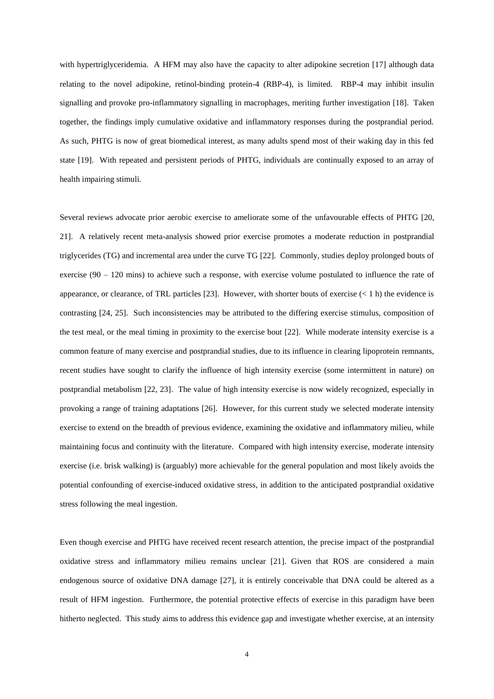with hypertriglyceridemia. A HFM may also have the capacity to alter adipokine secretion [17] although data relating to the novel adipokine, retinol-binding protein-4 (RBP-4), is limited. RBP-4 may inhibit insulin signalling and provoke pro-inflammatory signalling in macrophages, meriting further investigation [18]. Taken together, the findings imply cumulative oxidative and inflammatory responses during the postprandial period. As such, PHTG is now of great biomedical interest, as many adults spend most of their waking day in this fed state [19]. With repeated and persistent periods of PHTG, individuals are continually exposed to an array of health impairing stimuli.

Several reviews advocate prior aerobic exercise to ameliorate some of the unfavourable effects of PHTG [20, 21]. A relatively recent meta-analysis showed prior exercise promotes a moderate reduction in postprandial triglycerides (TG) and incremental area under the curve TG [22]. Commonly, studies deploy prolonged bouts of exercise (90 – 120 mins) to achieve such a response, with exercise volume postulated to influence the rate of appearance, or clearance, of TRL particles [23]. However, with shorter bouts of exercise  $(< 1 \text{ h})$  the evidence is contrasting [24, 25]. Such inconsistencies may be attributed to the differing exercise stimulus, composition of the test meal, or the meal timing in proximity to the exercise bout [22]. While moderate intensity exercise is a common feature of many exercise and postprandial studies, due to its influence in clearing lipoprotein remnants, recent studies have sought to clarify the influence of high intensity exercise (some intermittent in nature) on postprandial metabolism [22, 23]. The value of high intensity exercise is now widely recognized, especially in provoking a range of training adaptations [26]. However, for this current study we selected moderate intensity exercise to extend on the breadth of previous evidence, examining the oxidative and inflammatory milieu, while maintaining focus and continuity with the literature. Compared with high intensity exercise, moderate intensity exercise (i.e. brisk walking) is (arguably) more achievable for the general population and most likely avoids the potential confounding of exercise-induced oxidative stress, in addition to the anticipated postprandial oxidative stress following the meal ingestion.

Even though exercise and PHTG have received recent research attention, the precise impact of the postprandial oxidative stress and inflammatory milieu remains unclear [21]. Given that ROS are considered a main endogenous source of oxidative DNA damage [27], it is entirely conceivable that DNA could be altered as a result of HFM ingestion. Furthermore, the potential protective effects of exercise in this paradigm have been hitherto neglected. This study aims to address this evidence gap and investigate whether exercise, at an intensity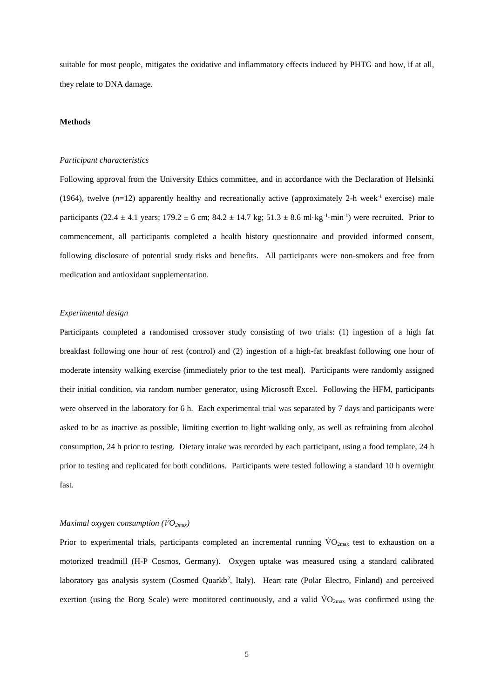suitable for most people, mitigates the oxidative and inflammatory effects induced by PHTG and how, if at all, they relate to DNA damage.

## **Methods**

### *Participant characteristics*

Following approval from the University Ethics committee, and in accordance with the Declaration of Helsinki (1964), twelve  $(n=12)$  apparently healthy and recreationally active (approximately 2-h week<sup>-1</sup> exercise) male participants (22.4  $\pm$  4.1 years; 179.2  $\pm$  6 cm; 84.2  $\pm$  14.7 kg; 51.3  $\pm$  8.6 ml·kg<sup>-1</sup>·min<sup>-1</sup>) were recruited. Prior to commencement, all participants completed a health history questionnaire and provided informed consent, following disclosure of potential study risks and benefits. All participants were non-smokers and free from medication and antioxidant supplementation.

# *Experimental design*

Participants completed a randomised crossover study consisting of two trials: (1) ingestion of a high fat breakfast following one hour of rest (control) and (2) ingestion of a high-fat breakfast following one hour of moderate intensity walking exercise (immediately prior to the test meal). Participants were randomly assigned their initial condition, via random number generator, using Microsoft Excel. Following the HFM, participants were observed in the laboratory for 6 h. Each experimental trial was separated by 7 days and participants were asked to be as inactive as possible, limiting exertion to light walking only, as well as refraining from alcohol consumption, 24 h prior to testing. Dietary intake was recorded by each participant, using a food template, 24 h prior to testing and replicated for both conditions. Participants were tested following a standard 10 h overnight fast.

# *Maximal oxygen consumption (V̇O2max)*

Prior to experimental trials, participants completed an incremental running  $\rm{VO_{2max}}$  test to exhaustion on a motorized treadmill (H-P Cosmos, Germany). Oxygen uptake was measured using a standard calibrated laboratory gas analysis system (Cosmed Quarkb<sup>2</sup>, Italy). Heart rate (Polar Electro, Finland) and perceived exertion (using the Borg Scale) were monitored continuously, and a valid  $\rm{VO}_{2max}$  was confirmed using the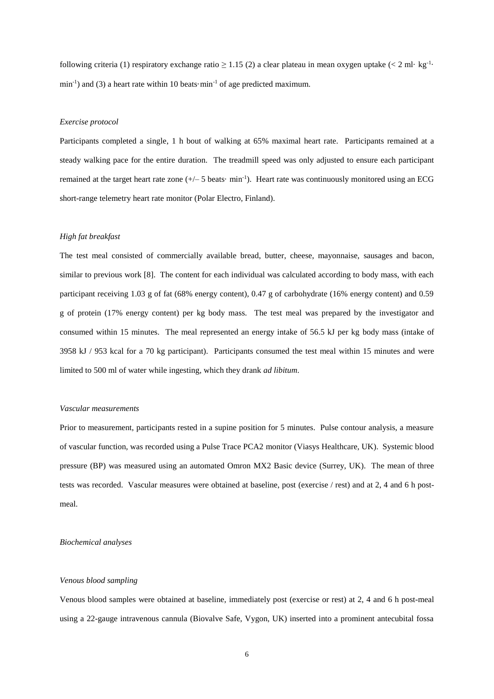following criteria (1) respiratory exchange ratio  $\geq 1.15$  (2) a clear plateau in mean oxygen uptake (< 2 ml· kg<sup>-1</sup>·  $\min^{-1}$ ) and (3) a heart rate within 10 beats $\cdot$ min<sup>-1</sup> of age predicted maximum.

# *Exercise protocol*

Participants completed a single, 1 h bout of walking at 65% maximal heart rate. Participants remained at a steady walking pace for the entire duration. The treadmill speed was only adjusted to ensure each participant remained at the target heart rate zone  $(+/- 5$  beats $\cdot$  min<sup>-1</sup>). Heart rate was continuously monitored using an ECG short-range telemetry heart rate monitor (Polar Electro, Finland).

### *High fat breakfast*

The test meal consisted of commercially available bread, butter, cheese, mayonnaise, sausages and bacon, similar to previous work [8]. The content for each individual was calculated according to body mass, with each participant receiving 1.03 g of fat (68% energy content), 0.47 g of carbohydrate (16% energy content) and 0.59 g of protein (17% energy content) per kg body mass. The test meal was prepared by the investigator and consumed within 15 minutes. The meal represented an energy intake of 56.5 kJ per kg body mass (intake of 3958 kJ / 953 kcal for a 70 kg participant). Participants consumed the test meal within 15 minutes and were limited to 500 ml of water while ingesting, which they drank *ad libitum*.

# *Vascular measurements*

Prior to measurement, participants rested in a supine position for 5 minutes. Pulse contour analysis, a measure of vascular function, was recorded using a Pulse Trace PCA2 monitor (Viasys Healthcare, UK). Systemic blood pressure (BP) was measured using an automated Omron MX2 Basic device (Surrey, UK). The mean of three tests was recorded. Vascular measures were obtained at baseline, post (exercise / rest) and at 2, 4 and 6 h postmeal.

## *Biochemical analyses*

## *Venous blood sampling*

Venous blood samples were obtained at baseline, immediately post (exercise or rest) at 2, 4 and 6 h post-meal using a 22-gauge intravenous cannula (Biovalve Safe, Vygon, UK) inserted into a prominent antecubital fossa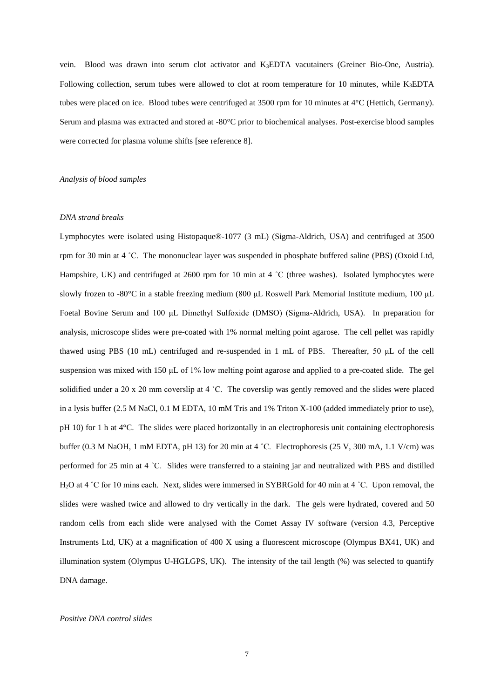vein. Blood was drawn into serum clot activator and K3EDTA vacutainers (Greiner Bio-One, Austria). Following collection, serum tubes were allowed to clot at room temperature for 10 minutes, while K3EDTA tubes were placed on ice. Blood tubes were centrifuged at 3500 rpm for 10 minutes at 4°C (Hettich, Germany). Serum and plasma was extracted and stored at -80°C prior to biochemical analyses. Post-exercise blood samples were corrected for plasma volume shifts [see reference 8].

# *Analysis of blood samples*

### *DNA strand breaks*

Lymphocytes were isolated using Histopaque®-1077 (3 mL) (Sigma-Aldrich, USA) and centrifuged at 3500 rpm for 30 min at 4 ˚C. The mononuclear layer was suspended in phosphate buffered saline (PBS) (Oxoid Ltd, Hampshire, UK) and centrifuged at 2600 rpm for 10 min at 4 °C (three washes). Isolated lymphocytes were slowly frozen to -80°C in a stable freezing medium (800 μL Roswell Park Memorial Institute medium, 100 μL Foetal Bovine Serum and 100 μL Dimethyl Sulfoxide (DMSO) (Sigma-Aldrich, USA). In preparation for analysis, microscope slides were pre-coated with 1% normal melting point agarose. The cell pellet was rapidly thawed using PBS (10 mL) centrifuged and re-suspended in 1 mL of PBS. Thereafter, 50 μL of the cell suspension was mixed with 150 μL of 1% low melting point agarose and applied to a pre-coated slide. The gel solidified under a 20 x 20 mm coverslip at 4 ˚C. The coverslip was gently removed and the slides were placed in a lysis buffer (2.5 M NaCl, 0.1 M EDTA, 10 mM Tris and 1% Triton X-100 (added immediately prior to use), pH 10) for 1 h at 4°C. The slides were placed horizontally in an electrophoresis unit containing electrophoresis buffer (0.3 M NaOH, 1 mM EDTA, pH 13) for 20 min at 4 °C. Electrophoresis (25 V, 300 mA, 1.1 V/cm) was performed for 25 min at 4 ˚C. Slides were transferred to a staining jar and neutralized with PBS and distilled H<sub>2</sub>O at 4 °C for 10 mins each. Next, slides were immersed in SYBRGold for 40 min at 4 °C. Upon removal, the slides were washed twice and allowed to dry vertically in the dark. The gels were hydrated, covered and 50 random cells from each slide were analysed with the Comet Assay IV software (version 4.3, Perceptive Instruments Ltd, UK) at a magnification of 400 X using a fluorescent microscope (Olympus BX41, UK) and illumination system (Olympus U-HGLGPS, UK). The intensity of the tail length (%) was selected to quantify DNA damage.

### *Positive DNA control slides*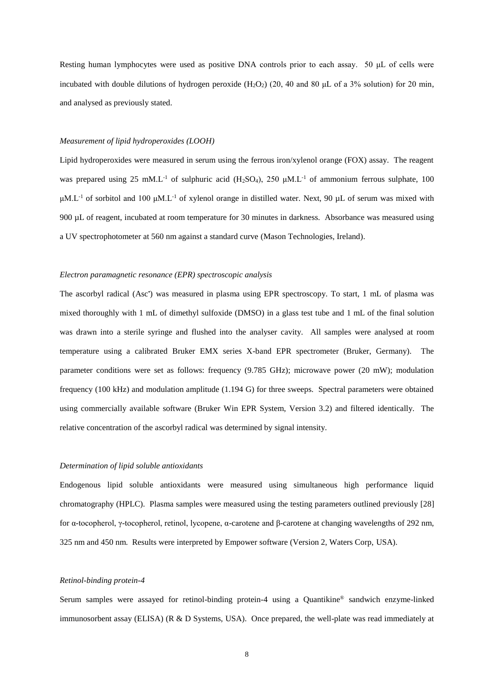Resting human lymphocytes were used as positive DNA controls prior to each assay. 50 μL of cells were incubated with double dilutions of hydrogen peroxide  $(H_2O_2)$  (20, 40 and 80 µL of a 3% solution) for 20 min, and analysed as previously stated.

# *Measurement of lipid hydroperoxides (LOOH)*

Lipid hydroperoxides were measured in serum using the ferrous iron/xylenol orange (FOX) assay. The reagent was prepared using 25 mM.L<sup>-1</sup> of sulphuric acid (H<sub>2</sub>SO<sub>4</sub>), 250  $\mu$ M.L<sup>-1</sup> of ammonium ferrous sulphate, 100  $\mu$ M.L<sup>-1</sup> of sorbitol and 100  $\mu$ M.L<sup>-1</sup> of xylenol orange in distilled water. Next, 90  $\mu$ L of serum was mixed with 900 µL of reagent, incubated at room temperature for 30 minutes in darkness. Absorbance was measured using a UV spectrophotometer at 560 nm against a standard curve (Mason Technologies, Ireland).

#### *Electron paramagnetic resonance (EPR) spectroscopic analysis*

The ascorbyl radical (Asc') was measured in plasma using EPR spectroscopy. To start, 1 mL of plasma was mixed thoroughly with 1 mL of dimethyl sulfoxide (DMSO) in a glass test tube and 1 mL of the final solution was drawn into a sterile syringe and flushed into the analyser cavity. All samples were analysed at room temperature using a calibrated Bruker EMX series X-band EPR spectrometer (Bruker, Germany). The parameter conditions were set as follows: frequency (9.785 GHz); microwave power (20 mW); modulation frequency (100 kHz) and modulation amplitude (1.194 G) for three sweeps. Spectral parameters were obtained using commercially available software (Bruker Win EPR System, Version 3.2) and filtered identically. The relative concentration of the ascorbyl radical was determined by signal intensity.

### *Determination of lipid soluble antioxidants*

Endogenous lipid soluble antioxidants were measured using simultaneous high performance liquid chromatography (HPLC). Plasma samples were measured using the testing parameters outlined previously [28] for α-tocopherol, γ-tocopherol, retinol, lycopene, α-carotene and β-carotene at changing wavelengths of 292 nm, 325 nm and 450 nm. Results were interpreted by Empower software (Version 2, Waters Corp, USA).

#### *Retinol-binding protein-4*

Serum samples were assayed for retinol-binding protein-4 using a Quantikine® sandwich enzyme-linked immunosorbent assay (ELISA) (R & D Systems, USA). Once prepared, the well-plate was read immediately at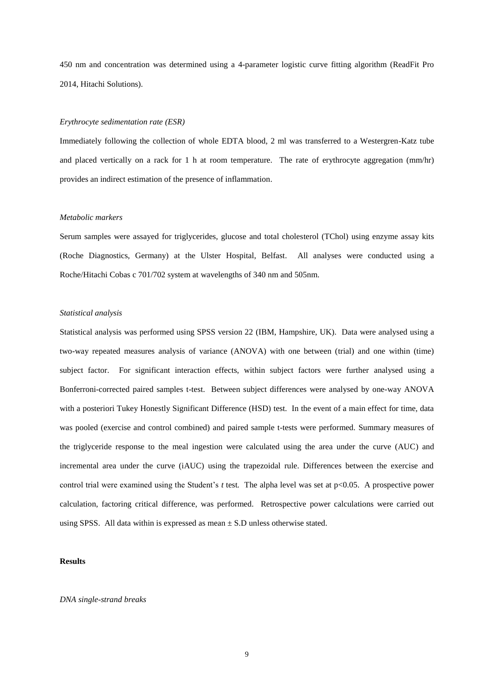450 nm and concentration was determined using a 4-parameter logistic curve fitting algorithm (ReadFit Pro 2014, Hitachi Solutions).

# *Erythrocyte sedimentation rate (ESR)*

Immediately following the collection of whole EDTA blood, 2 ml was transferred to a Westergren-Katz tube and placed vertically on a rack for 1 h at room temperature. The rate of erythrocyte aggregation (mm/hr) provides an indirect estimation of the presence of inflammation.

# *Metabolic markers*

Serum samples were assayed for triglycerides, glucose and total cholesterol (TChol) using enzyme assay kits (Roche Diagnostics, Germany) at the Ulster Hospital, Belfast. All analyses were conducted using a Roche/Hitachi Cobas c 701/702 system at wavelengths of 340 nm and 505nm.

# *Statistical analysis*

Statistical analysis was performed using SPSS version 22 (IBM, Hampshire, UK). Data were analysed using a two-way repeated measures analysis of variance (ANOVA) with one between (trial) and one within (time) subject factor. For significant interaction effects, within subject factors were further analysed using a Bonferroni-corrected paired samples t-test. Between subject differences were analysed by one-way ANOVA with a posteriori Tukey Honestly Significant Difference (HSD) test. In the event of a main effect for time, data was pooled (exercise and control combined) and paired sample t-tests were performed. Summary measures of the triglyceride response to the meal ingestion were calculated using the area under the curve (AUC) and incremental area under the curve (iAUC) using the trapezoidal rule. Differences between the exercise and control trial were examined using the Student's *t* test*.* The alpha level was set at p<0.05. A prospective power calculation, factoring critical difference, was performed. Retrospective power calculations were carried out using SPSS. All data within is expressed as mean  $\pm$  S.D unless otherwise stated.

## **Results**

## *DNA single-strand breaks*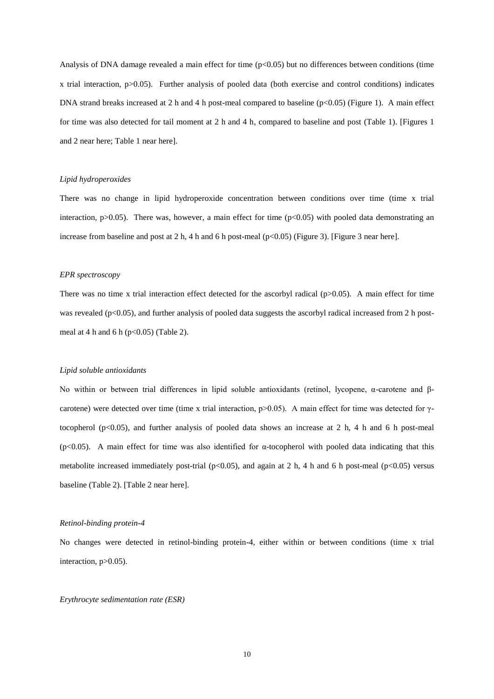Analysis of DNA damage revealed a main effect for time  $(p<0.05)$  but no differences between conditions (time x trial interaction, p>0.05). Further analysis of pooled data (both exercise and control conditions) indicates DNA strand breaks increased at 2 h and 4 h post-meal compared to baseline  $(p<0.05)$  (Figure 1). A main effect for time was also detected for tail moment at 2 h and 4 h, compared to baseline and post (Table 1). [Figures 1 and 2 near here; Table 1 near here].

## *Lipid hydroperoxides*

There was no change in lipid hydroperoxide concentration between conditions over time (time x trial interaction,  $p > 0.05$ ). There was, however, a main effect for time ( $p < 0.05$ ) with pooled data demonstrating an increase from baseline and post at 2 h, 4 h and 6 h post-meal ( $p$ <0.05) (Figure 3). [Figure 3 near here].

#### *EPR spectroscopy*

There was no time x trial interaction effect detected for the ascorbyl radical  $(p>0.05)$ . A main effect for time was revealed ( $p<0.05$ ), and further analysis of pooled data suggests the ascorbyl radical increased from 2 h postmeal at 4 h and 6 h ( $p<0.05$ ) (Table 2).

#### *Lipid soluble antioxidants*

No within or between trial differences in lipid soluble antioxidants (retinol, lycopene, α-carotene and βcarotene) were detected over time (time x trial interaction,  $p>0.05$ ). A main effect for time was detected for  $\gamma$ tocopherol ( $p<0.05$ ), and further analysis of pooled data shows an increase at 2 h, 4 h and 6 h post-meal (p<0.05). A main effect for time was also identified for α-tocopherol with pooled data indicating that this metabolite increased immediately post-trial ( $p<0.05$ ), and again at 2 h, 4 h and 6 h post-meal ( $p<0.05$ ) versus baseline (Table 2). [Table 2 near here].

## *Retinol-binding protein-4*

No changes were detected in retinol-binding protein-4, either within or between conditions (time x trial interaction, p>0.05).

# *Erythrocyte sedimentation rate (ESR)*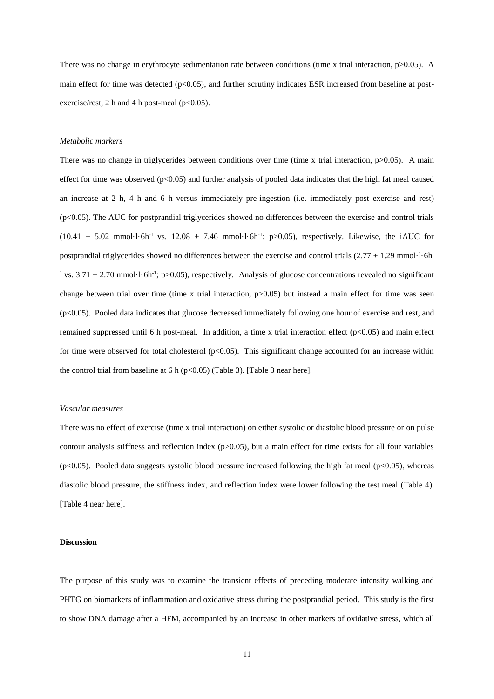There was no change in erythrocyte sedimentation rate between conditions (time x trial interaction,  $p > 0.05$ ). A main effect for time was detected (p<0.05), and further scrutiny indicates ESR increased from baseline at postexercise/rest, 2 h and 4 h post-meal ( $p<0.05$ ).

## *Metabolic markers*

There was no change in triglycerides between conditions over time (time x trial interaction,  $p > 0.05$ ). A main effect for time was observed ( $p<0.05$ ) and further analysis of pooled data indicates that the high fat meal caused an increase at 2 h, 4 h and 6 h versus immediately pre-ingestion (i.e. immediately post exercise and rest) (p<0.05). The AUC for postprandial triglycerides showed no differences between the exercise and control trials  $(10.41 \pm 5.02 \text{ mmol}\cdot\text{l}\cdot\text{6} \text{h}^{-1} \text{ vs. } 12.08 \pm 7.46 \text{ mmol}\cdot\text{l}\cdot\text{6} \text{h}^{-1}; \text{ p} > 0.05)$ , respectively. Likewise, the iAUC for postprandial triglycerides showed no differences between the exercise and control trials  $(2.77 \pm 1.29 \text{ mmol·l·6h})$ <sup>1</sup> vs.  $3.71 \pm 2.70$  mmol·l·6h<sup>-1</sup>; p>0.05), respectively. Analysis of glucose concentrations revealed no significant change between trial over time (time x trial interaction,  $p$  $0.05$ ) but instead a main effect for time was seen (p<0.05). Pooled data indicates that glucose decreased immediately following one hour of exercise and rest, and remained suppressed until 6 h post-meal. In addition, a time x trial interaction effect ( $p<0.05$ ) and main effect for time were observed for total cholesterol ( $p<0.05$ ). This significant change accounted for an increase within the control trial from baseline at 6 h ( $p<0.05$ ) (Table 3). [Table 3 near here].

## *Vascular measures*

There was no effect of exercise (time x trial interaction) on either systolic or diastolic blood pressure or on pulse contour analysis stiffness and reflection index (p>0.05), but a main effect for time exists for all four variables  $(p<0.05)$ . Pooled data suggests systolic blood pressure increased following the high fat meal  $(p<0.05)$ , whereas diastolic blood pressure, the stiffness index, and reflection index were lower following the test meal (Table 4). [Table 4 near here].

#### **Discussion**

The purpose of this study was to examine the transient effects of preceding moderate intensity walking and PHTG on biomarkers of inflammation and oxidative stress during the postprandial period. This study is the first to show DNA damage after a HFM, accompanied by an increase in other markers of oxidative stress, which all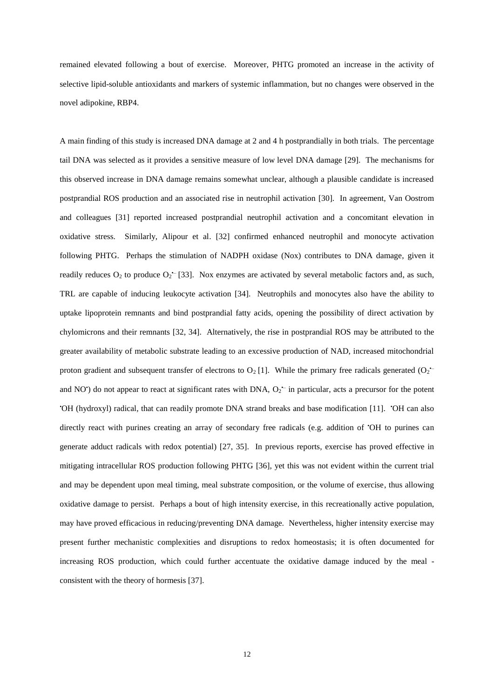remained elevated following a bout of exercise. Moreover, PHTG promoted an increase in the activity of selective lipid-soluble antioxidants and markers of systemic inflammation, but no changes were observed in the novel adipokine, RBP4.

A main finding of this study is increased DNA damage at 2 and 4 h postprandially in both trials. The percentage tail DNA was selected as it provides a sensitive measure of low level DNA damage [29]. The mechanisms for this observed increase in DNA damage remains somewhat unclear, although a plausible candidate is increased postprandial ROS production and an associated rise in neutrophil activation [30]. In agreement, Van Oostrom and colleagues [31] reported increased postprandial neutrophil activation and a concomitant elevation in oxidative stress. Similarly, Alipour et al. [32] confirmed enhanced neutrophil and monocyte activation following PHTG. Perhaps the stimulation of NADPH oxidase (Nox) contributes to DNA damage, given it readily reduces  $O_2$  to produce  $O_2$  [33]. Nox enzymes are activated by several metabolic factors and, as such, TRL are capable of inducing leukocyte activation [34]. Neutrophils and monocytes also have the ability to uptake lipoprotein remnants and bind postprandial fatty acids, opening the possibility of direct activation by chylomicrons and their remnants [32, 34]. Alternatively, the rise in postprandial ROS may be attributed to the greater availability of metabolic substrate leading to an excessive production of NAD, increased mitochondrial proton gradient and subsequent transfer of electrons to  $O_2$  [1]. While the primary free radicals generated  $(O_2$ <sup>-</sup> and NO<sup>\*</sup>) do not appear to react at significant rates with DNA,  $O_2$ <sup>\*-</sup> in particular, acts a precursor for the potent •OH (hydroxyl) radical, that can readily promote DNA strand breaks and base modification [11]. •OH can also directly react with purines creating an array of secondary free radicals (e.g. addition of 'OH to purines can generate adduct radicals with redox potential) [27, 35]. In previous reports, exercise has proved effective in mitigating intracellular ROS production following PHTG [36], yet this was not evident within the current trial and may be dependent upon meal timing, meal substrate composition, or the volume of exercise, thus allowing oxidative damage to persist. Perhaps a bout of high intensity exercise, in this recreationally active population, may have proved efficacious in reducing/preventing DNA damage. Nevertheless, higher intensity exercise may present further mechanistic complexities and disruptions to redox homeostasis; it is often documented for increasing ROS production, which could further accentuate the oxidative damage induced by the meal consistent with the theory of hormesis [37].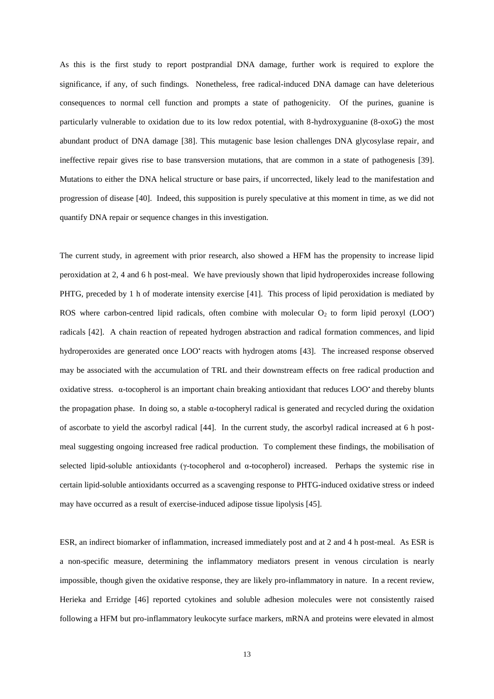As this is the first study to report postprandial DNA damage, further work is required to explore the significance, if any, of such findings. Nonetheless, free radical-induced DNA damage can have deleterious consequences to normal cell function and prompts a state of pathogenicity. Of the purines, guanine is particularly vulnerable to oxidation due to its low redox potential, with 8-hydroxyguanine (8-oxoG) the most abundant product of DNA damage [38]. This mutagenic base lesion challenges DNA glycosylase repair, and ineffective repair gives rise to base transversion mutations, that are common in a state of pathogenesis [39]. Mutations to either the DNA helical structure or base pairs, if uncorrected, likely lead to the manifestation and progression of disease [40]. Indeed, this supposition is purely speculative at this moment in time, as we did not quantify DNA repair or sequence changes in this investigation.

The current study, in agreement with prior research, also showed a HFM has the propensity to increase lipid peroxidation at 2, 4 and 6 h post-meal. We have previously shown that lipid hydroperoxides increase following PHTG, preceded by 1 h of moderate intensity exercise [41]. This process of lipid peroxidation is mediated by ROS where carbon-centred lipid radicals, often combine with molecular  $O_2$  to form lipid peroxyl (LOO') radicals [42]. A chain reaction of repeated hydrogen abstraction and radical formation commences, and lipid hydroperoxides are generated once LOO<sup>•</sup> reacts with hydrogen atoms [43]. The increased response observed may be associated with the accumulation of TRL and their downstream effects on free radical production and oxidative stress. α-tocopherol is an important chain breaking antioxidant that reduces LOO• and thereby blunts the propagation phase. In doing so, a stable α-tocopheryl radical is generated and recycled during the oxidation of ascorbate to yield the ascorbyl radical [44]. In the current study, the ascorbyl radical increased at 6 h postmeal suggesting ongoing increased free radical production. To complement these findings, the mobilisation of selected lipid-soluble antioxidants (γ-tocopherol and α-tocopherol) increased. Perhaps the systemic rise in certain lipid-soluble antioxidants occurred as a scavenging response to PHTG-induced oxidative stress or indeed may have occurred as a result of exercise-induced adipose tissue lipolysis [45].

ESR, an indirect biomarker of inflammation, increased immediately post and at 2 and 4 h post-meal. As ESR is a non-specific measure, determining the inflammatory mediators present in venous circulation is nearly impossible, though given the oxidative response, they are likely pro-inflammatory in nature. In a recent review, Herieka and Erridge [46] reported cytokines and soluble adhesion molecules were not consistently raised following a HFM but pro-inflammatory leukocyte surface markers, mRNA and proteins were elevated in almost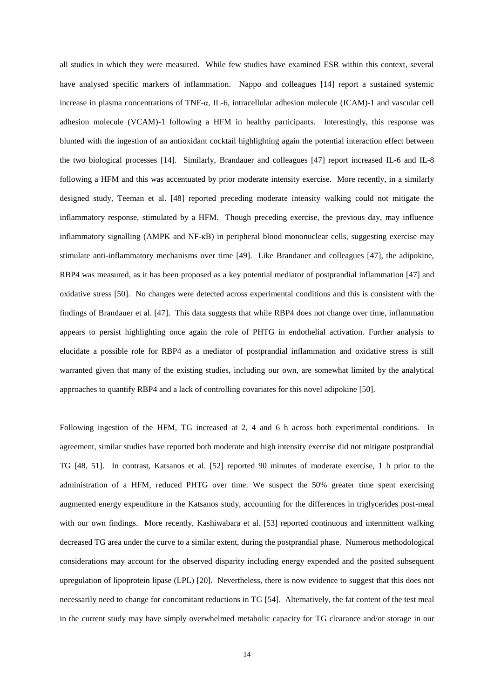all studies in which they were measured. While few studies have examined ESR within this context, several have analysed specific markers of inflammation. Nappo and colleagues [14] report a sustained systemic increase in plasma concentrations of TNF-α, IL-6, intracellular adhesion molecule (ICAM)-1 and vascular cell adhesion molecule (VCAM)-1 following a HFM in healthy participants. Interestingly, this response was blunted with the ingestion of an antioxidant cocktail highlighting again the potential interaction effect between the two biological processes [14]. Similarly, Brandauer and colleagues [47] report increased IL-6 and IL-8 following a HFM and this was accentuated by prior moderate intensity exercise. More recently, in a similarly designed study, Teeman et al. [48] reported preceding moderate intensity walking could not mitigate the inflammatory response, stimulated by a HFM. Though preceding exercise, the previous day, may influence inflammatory signalling (AMPK and NF-κB) in peripheral blood mononuclear cells, suggesting exercise may stimulate anti-inflammatory mechanisms over time [49]. Like Brandauer and colleagues [47], the adipokine, RBP4 was measured, as it has been proposed as a key potential mediator of postprandial inflammation [47] and oxidative stress [50]. No changes were detected across experimental conditions and this is consistent with the findings of Brandauer et al. [47]. This data suggests that while RBP4 does not change over time, inflammation appears to persist highlighting once again the role of PHTG in endothelial activation. Further analysis to elucidate a possible role for RBP4 as a mediator of postprandial inflammation and oxidative stress is still warranted given that many of the existing studies, including our own, are somewhat limited by the analytical approaches to quantify RBP4 and a lack of controlling covariates for this novel adipokine [50].

Following ingestion of the HFM, TG increased at 2, 4 and 6 h across both experimental conditions. In agreement, similar studies have reported both moderate and high intensity exercise did not mitigate postprandial TG [48, 51]. In contrast, Katsanos et al. [52] reported 90 minutes of moderate exercise, 1 h prior to the administration of a HFM, reduced PHTG over time. We suspect the 50% greater time spent exercising augmented energy expenditure in the Katsanos study, accounting for the differences in triglycerides post-meal with our own findings. More recently, Kashiwabara et al. [53] reported continuous and intermittent walking decreased TG area under the curve to a similar extent, during the postprandial phase. Numerous methodological considerations may account for the observed disparity including energy expended and the posited subsequent upregulation of lipoprotein lipase (LPL) [20]. Nevertheless, there is now evidence to suggest that this does not necessarily need to change for concomitant reductions in TG [54]. Alternatively, the fat content of the test meal in the current study may have simply overwhelmed metabolic capacity for TG clearance and/or storage in our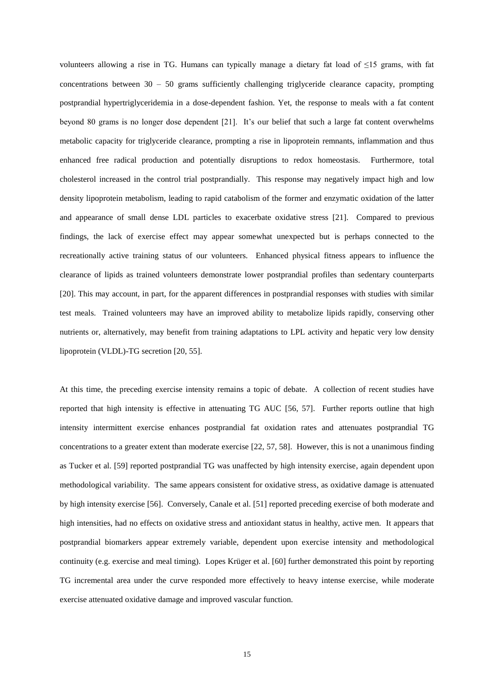volunteers allowing a rise in TG. Humans can typically manage a dietary fat load of  $\leq 15$  grams, with fat concentrations between  $30 - 50$  grams sufficiently challenging triglyceride clearance capacity, prompting postprandial hypertriglyceridemia in a dose-dependent fashion. Yet, the response to meals with a fat content beyond 80 grams is no longer dose dependent [21]. It's our belief that such a large fat content overwhelms metabolic capacity for triglyceride clearance, prompting a rise in lipoprotein remnants, inflammation and thus enhanced free radical production and potentially disruptions to redox homeostasis. Furthermore, total cholesterol increased in the control trial postprandially. This response may negatively impact high and low density lipoprotein metabolism, leading to rapid catabolism of the former and enzymatic oxidation of the latter and appearance of small dense LDL particles to exacerbate oxidative stress [21]. Compared to previous findings, the lack of exercise effect may appear somewhat unexpected but is perhaps connected to the recreationally active training status of our volunteers. Enhanced physical fitness appears to influence the clearance of lipids as trained volunteers demonstrate lower postprandial profiles than sedentary counterparts [20]. This may account, in part, for the apparent differences in postprandial responses with studies with similar test meals. Trained volunteers may have an improved ability to metabolize lipids rapidly, conserving other nutrients or, alternatively, may benefit from training adaptations to LPL activity and hepatic very low density lipoprotein (VLDL)-TG secretion [20, 55].

At this time, the preceding exercise intensity remains a topic of debate. A collection of recent studies have reported that high intensity is effective in attenuating TG AUC [56, 57]. Further reports outline that high intensity intermittent exercise enhances postprandial fat oxidation rates and attenuates postprandial TG concentrations to a greater extent than moderate exercise [22, 57, 58]. However, this is not a unanimous finding as Tucker et al. [59] reported postprandial TG was unaffected by high intensity exercise, again dependent upon methodological variability. The same appears consistent for oxidative stress, as oxidative damage is attenuated by high intensity exercise [56]. Conversely, Canale et al. [51] reported preceding exercise of both moderate and high intensities, had no effects on oxidative stress and antioxidant status in healthy, active men. It appears that postprandial biomarkers appear extremely variable, dependent upon exercise intensity and methodological continuity (e.g. exercise and meal timing). Lopes Krüger et al. [60] further demonstrated this point by reporting TG incremental area under the curve responded more effectively to heavy intense exercise, while moderate exercise attenuated oxidative damage and improved vascular function.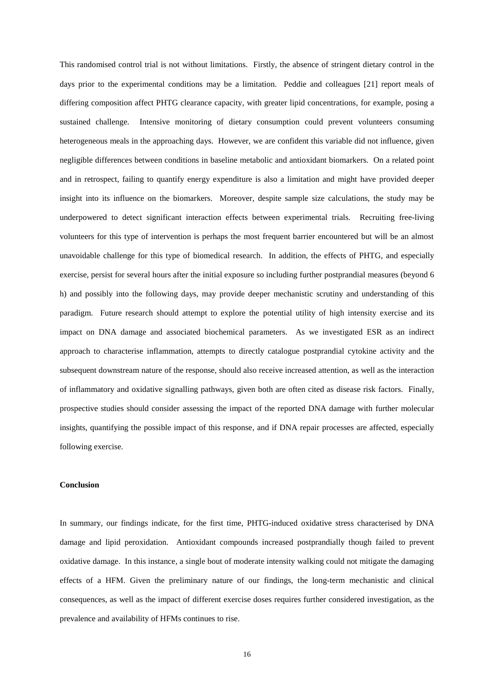This randomised control trial is not without limitations. Firstly, the absence of stringent dietary control in the days prior to the experimental conditions may be a limitation. Peddie and colleagues [21] report meals of differing composition affect PHTG clearance capacity, with greater lipid concentrations, for example, posing a sustained challenge. Intensive monitoring of dietary consumption could prevent volunteers consuming heterogeneous meals in the approaching days. However, we are confident this variable did not influence, given negligible differences between conditions in baseline metabolic and antioxidant biomarkers. On a related point and in retrospect, failing to quantify energy expenditure is also a limitation and might have provided deeper insight into its influence on the biomarkers. Moreover, despite sample size calculations, the study may be underpowered to detect significant interaction effects between experimental trials. Recruiting free-living volunteers for this type of intervention is perhaps the most frequent barrier encountered but will be an almost unavoidable challenge for this type of biomedical research. In addition, the effects of PHTG, and especially exercise, persist for several hours after the initial exposure so including further postprandial measures (beyond 6 h) and possibly into the following days, may provide deeper mechanistic scrutiny and understanding of this paradigm. Future research should attempt to explore the potential utility of high intensity exercise and its impact on DNA damage and associated biochemical parameters. As we investigated ESR as an indirect approach to characterise inflammation, attempts to directly catalogue postprandial cytokine activity and the subsequent downstream nature of the response, should also receive increased attention, as well as the interaction of inflammatory and oxidative signalling pathways, given both are often cited as disease risk factors. Finally, prospective studies should consider assessing the impact of the reported DNA damage with further molecular insights, quantifying the possible impact of this response, and if DNA repair processes are affected, especially following exercise.

# **Conclusion**

In summary, our findings indicate, for the first time, PHTG-induced oxidative stress characterised by DNA damage and lipid peroxidation. Antioxidant compounds increased postprandially though failed to prevent oxidative damage. In this instance, a single bout of moderate intensity walking could not mitigate the damaging effects of a HFM. Given the preliminary nature of our findings, the long-term mechanistic and clinical consequences, as well as the impact of different exercise doses requires further considered investigation, as the prevalence and availability of HFMs continues to rise.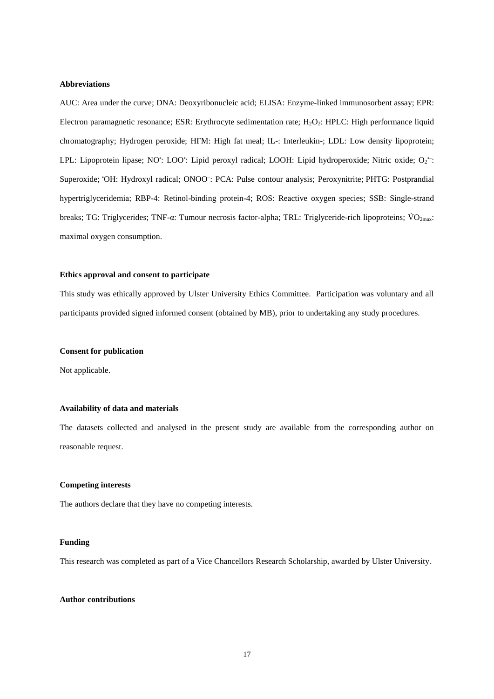#### **Abbreviations**

AUC: Area under the curve; DNA: Deoxyribonucleic acid; ELISA: Enzyme-linked immunosorbent assay; EPR: Electron paramagnetic resonance; ESR: Erythrocyte sedimentation rate; H<sub>2</sub>O<sub>2</sub>: HPLC: High performance liquid chromatography; Hydrogen peroxide; HFM: High fat meal; IL-: Interleukin-; LDL: Low density lipoprotein; LPL: Lipoprotein lipase; NO<sup>+</sup>: LOO<sup>+</sup>: Lipid peroxyl radical; LOOH: Lipid hydroperoxide; Nitric oxide; O<sub>2</sub><sup>+</sup>: Superoxide; 'OH: Hydroxyl radical; ONOO: PCA: Pulse contour analysis; Peroxynitrite; PHTG: Postprandial hypertriglyceridemia; RBP-4: Retinol-binding protein-4; ROS: Reactive oxygen species; SSB: Single-strand breaks; TG: Triglycerides; TNF-α: Tumour necrosis factor-alpha; TRL: Triglyceride-rich lipoproteins; V̇ O2max: maximal oxygen consumption.

## **Ethics approval and consent to participate**

This study was ethically approved by Ulster University Ethics Committee. Participation was voluntary and all participants provided signed informed consent (obtained by MB), prior to undertaking any study procedures.

## **Consent for publication**

Not applicable.

# **Availability of data and materials**

The datasets collected and analysed in the present study are available from the corresponding author on reasonable request.

# **Competing interests**

The authors declare that they have no competing interests.

#### **Funding**

This research was completed as part of a Vice Chancellors Research Scholarship, awarded by Ulster University.

# **Author contributions**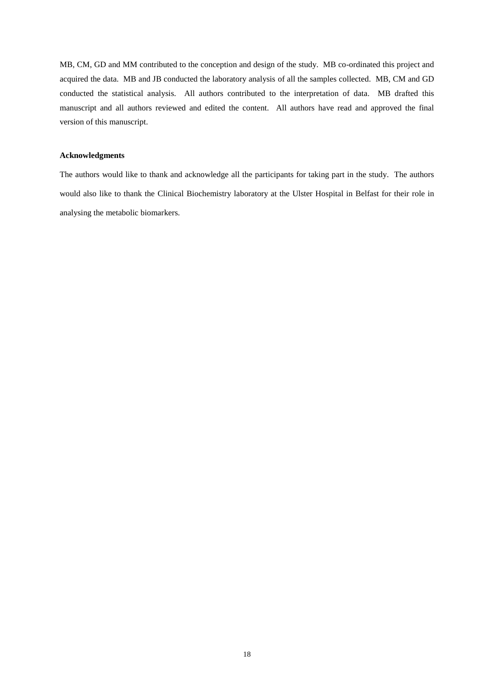MB, CM, GD and MM contributed to the conception and design of the study. MB co-ordinated this project and acquired the data. MB and JB conducted the laboratory analysis of all the samples collected. MB, CM and GD conducted the statistical analysis. All authors contributed to the interpretation of data. MB drafted this manuscript and all authors reviewed and edited the content. All authors have read and approved the final version of this manuscript.

# **Acknowledgments**

The authors would like to thank and acknowledge all the participants for taking part in the study. The authors would also like to thank the Clinical Biochemistry laboratory at the Ulster Hospital in Belfast for their role in analysing the metabolic biomarkers.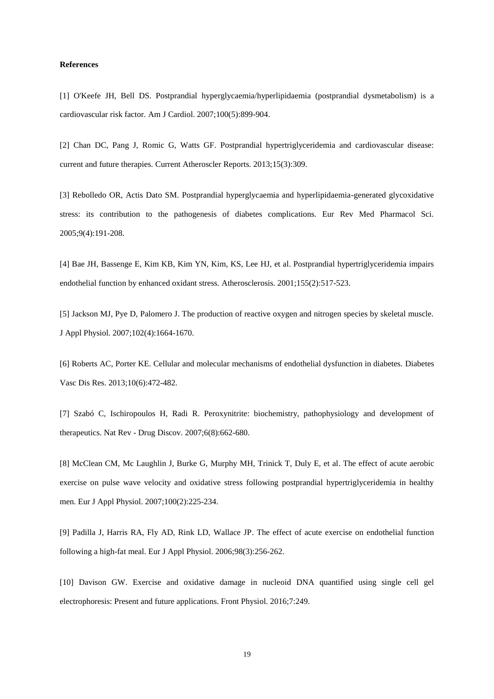## **References**

[1] O'Keefe JH, Bell DS. Postprandial hyperglycaemia/hyperlipidaemia (postprandial dysmetabolism) is a cardiovascular risk factor. Am J Cardiol. 2007;100(5):899-904.

[2] Chan DC, Pang J, Romic G, Watts GF. Postprandial hypertriglyceridemia and cardiovascular disease: current and future therapies. Current Atheroscler Reports. 2013;15(3):309.

[3] Rebolledo OR, Actis Dato SM. Postprandial hyperglycaemia and hyperlipidaemia-generated glycoxidative stress: its contribution to the pathogenesis of diabetes complications. Eur Rev Med Pharmacol Sci. 2005;9(4):191-208.

[4] Bae JH, Bassenge E, Kim KB, Kim YN, Kim, KS, Lee HJ, et al. Postprandial hypertriglyceridemia impairs endothelial function by enhanced oxidant stress. Atherosclerosis. 2001;155(2):517-523.

[5] Jackson MJ, Pye D, Palomero J. The production of reactive oxygen and nitrogen species by skeletal muscle. J Appl Physiol. 2007;102(4):1664-1670.

[6] Roberts AC, Porter KE. Cellular and molecular mechanisms of endothelial dysfunction in diabetes. Diabetes Vasc Dis Res. 2013;10(6):472-482.

[7] Szabó C, Ischiropoulos H, Radi R. Peroxynitrite: biochemistry, pathophysiology and development of therapeutics. Nat Rev - Drug Discov. 2007;6(8):662-680.

[8] McClean CM, Mc Laughlin J, Burke G, Murphy MH, Trinick T, Duly E, et al. The effect of acute aerobic exercise on pulse wave velocity and oxidative stress following postprandial hypertriglyceridemia in healthy men. Eur J Appl Physiol. 2007;100(2):225-234.

[9] Padilla J, Harris RA, Fly AD, Rink LD, Wallace JP. The effect of acute exercise on endothelial function following a high-fat meal. Eur J Appl Physiol. 2006;98(3):256-262.

[10] Davison GW. Exercise and oxidative damage in nucleoid DNA quantified using single cell gel electrophoresis: Present and future applications. Front Physiol. 2016;7:249.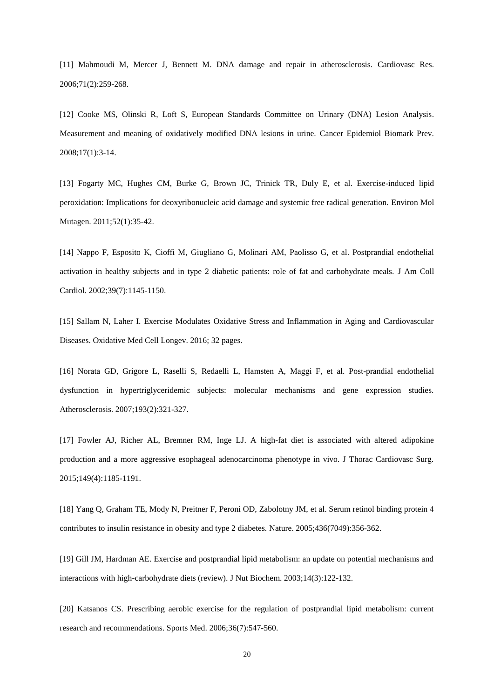[11] Mahmoudi M, Mercer J, Bennett M. DNA damage and repair in atherosclerosis. Cardiovasc Res. 2006;71(2):259-268.

[12] Cooke MS, Olinski R, Loft S, European Standards Committee on Urinary (DNA) Lesion Analysis. Measurement and meaning of oxidatively modified DNA lesions in urine. Cancer Epidemiol Biomark Prev. 2008;17(1):3-14.

[13] Fogarty MC, Hughes CM, Burke G, Brown JC, Trinick TR, Duly E, et al. Exercise-induced lipid peroxidation: Implications for deoxyribonucleic acid damage and systemic free radical generation. Environ Mol Mutagen. 2011;52(1):35-42.

[14] Nappo F, Esposito K, Cioffi M, Giugliano G, Molinari AM, Paolisso G, et al. Postprandial endothelial activation in healthy subjects and in type 2 diabetic patients: role of fat and carbohydrate meals. J Am Coll Cardiol. 2002;39(7):1145-1150.

[15] Sallam N, Laher I. Exercise Modulates Oxidative Stress and Inflammation in Aging and Cardiovascular Diseases. Oxidative Med Cell Longev. 2016; 32 pages.

[16] Norata GD, Grigore L, Raselli S, Redaelli L, Hamsten A, Maggi F, et al. Post-prandial endothelial dysfunction in hypertriglyceridemic subjects: molecular mechanisms and gene expression studies. Atherosclerosis. 2007;193(2):321-327.

[17] Fowler AJ, Richer AL, Bremner RM, Inge LJ. A high-fat diet is associated with altered adipokine production and a more aggressive esophageal adenocarcinoma phenotype in vivo. J Thorac Cardiovasc Surg. 2015;149(4):1185-1191.

[18] Yang Q, Graham TE, Mody N, Preitner F, Peroni OD, Zabolotny JM, et al. Serum retinol binding protein 4 contributes to insulin resistance in obesity and type 2 diabetes. Nature. 2005;436(7049):356-362.

[19] Gill JM, Hardman AE. Exercise and postprandial lipid metabolism: an update on potential mechanisms and interactions with high-carbohydrate diets (review). J Nut Biochem. 2003;14(3):122-132.

[20] Katsanos CS. Prescribing aerobic exercise for the regulation of postprandial lipid metabolism: current research and recommendations. Sports Med. 2006;36(7):547-560.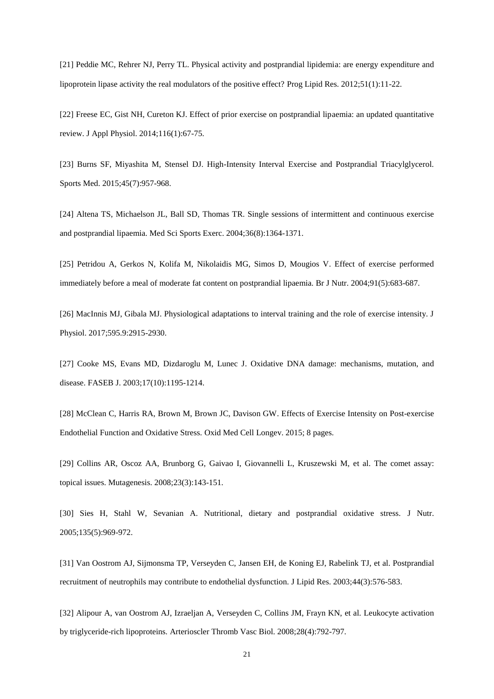[21] Peddie MC, Rehrer NJ, Perry TL. Physical activity and postprandial lipidemia: are energy expenditure and lipoprotein lipase activity the real modulators of the positive effect? Prog Lipid Res. 2012;51(1):11-22.

[22] Freese EC, Gist NH, Cureton KJ. Effect of prior exercise on postprandial lipaemia: an updated quantitative review. J Appl Physiol. 2014;116(1):67-75.

[23] Burns SF, Miyashita M, Stensel DJ. High-Intensity Interval Exercise and Postprandial Triacylglycerol. Sports Med. 2015;45(7):957-968.

[24] Altena TS, Michaelson JL, Ball SD, Thomas TR. Single sessions of intermittent and continuous exercise and postprandial lipaemia. Med Sci Sports Exerc. 2004;36(8):1364-1371.

[25] Petridou A, Gerkos N, Kolifa M, Nikolaidis MG, Simos D, Mougios V. Effect of exercise performed immediately before a meal of moderate fat content on postprandial lipaemia. Br J Nutr. 2004;91(5):683-687.

[26] MacInnis MJ, Gibala MJ. Physiological adaptations to interval training and the role of exercise intensity. J Physiol. 2017;595.9:2915-2930.

[27] Cooke MS, Evans MD, Dizdaroglu M, Lunec J. Oxidative DNA damage: mechanisms, mutation, and disease. FASEB J. 2003;17(10):1195-1214.

[28] McClean C, Harris RA, Brown M, Brown JC, Davison GW. Effects of Exercise Intensity on Post-exercise Endothelial Function and Oxidative Stress. Oxid Med Cell Longev. 2015; 8 pages.

[29] Collins AR, Oscoz AA, Brunborg G, Gaivao I, Giovannelli L, Kruszewski M, et al. The comet assay: topical issues. Mutagenesis. 2008;23(3):143-151.

[30] Sies H, Stahl W, Sevanian A. Nutritional, dietary and postprandial oxidative stress. J Nutr. 2005;135(5):969-972.

[31] Van Oostrom AJ, Sijmonsma TP, Verseyden C, Jansen EH, de Koning EJ, Rabelink TJ, et al. Postprandial recruitment of neutrophils may contribute to endothelial dysfunction. J Lipid Res. 2003;44(3):576-583.

[32] Alipour A, van Oostrom AJ, Izraeljan A, Verseyden C, Collins JM, Frayn KN, et al. Leukocyte activation by triglyceride-rich lipoproteins. Arterioscler Thromb Vasc Biol. 2008;28(4):792-797.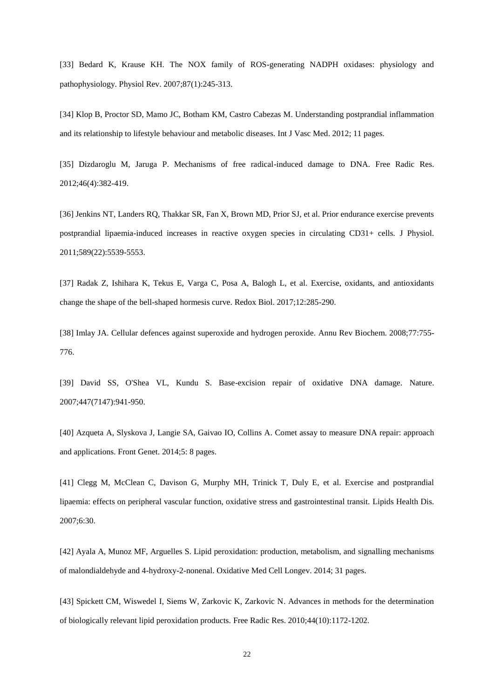[33] Bedard K, Krause KH. The NOX family of ROS-generating NADPH oxidases: physiology and pathophysiology. Physiol Rev. 2007;87(1):245-313.

[34] Klop B, Proctor SD, Mamo JC, Botham KM, Castro Cabezas M. Understanding postprandial inflammation and its relationship to lifestyle behaviour and metabolic diseases. Int J Vasc Med. 2012; 11 pages.

[35] Dizdaroglu M, Jaruga P. Mechanisms of free radical-induced damage to DNA. Free Radic Res. 2012;46(4):382-419.

[36] Jenkins NT, Landers RQ, Thakkar SR, Fan X, Brown MD, Prior SJ, et al. Prior endurance exercise prevents postprandial lipaemia-induced increases in reactive oxygen species in circulating CD31+ cells. J Physiol. 2011;589(22):5539-5553.

[37] Radak Z, Ishihara K, Tekus E, Varga C, Posa A, Balogh L, et al. Exercise, oxidants, and antioxidants change the shape of the bell-shaped hormesis curve. Redox Biol. 2017;12:285-290.

[38] Imlay JA. Cellular defences against superoxide and hydrogen peroxide. Annu Rev Biochem. 2008;77:755- 776.

[39] David SS, O'Shea VL, Kundu S. Base-excision repair of oxidative DNA damage. Nature. 2007;447(7147):941-950.

[40] Azqueta A, Slyskova J, Langie SA, Gaivao IO, Collins A. Comet assay to measure DNA repair: approach and applications. Front Genet. 2014;5: 8 pages.

[41] Clegg M, McClean C, Davison G, Murphy MH, Trinick T, Duly E, et al. Exercise and postprandial lipaemia: effects on peripheral vascular function, oxidative stress and gastrointestinal transit. Lipids Health Dis. 2007;6:30.

[42] Ayala A, Munoz MF, Arguelles S. Lipid peroxidation: production, metabolism, and signalling mechanisms of malondialdehyde and 4-hydroxy-2-nonenal. Oxidative Med Cell Longev. 2014; 31 pages.

[43] Spickett CM, Wiswedel I, Siems W, Zarkovic K, Zarkovic N. Advances in methods for the determination of biologically relevant lipid peroxidation products. Free Radic Res. 2010;44(10):1172-1202.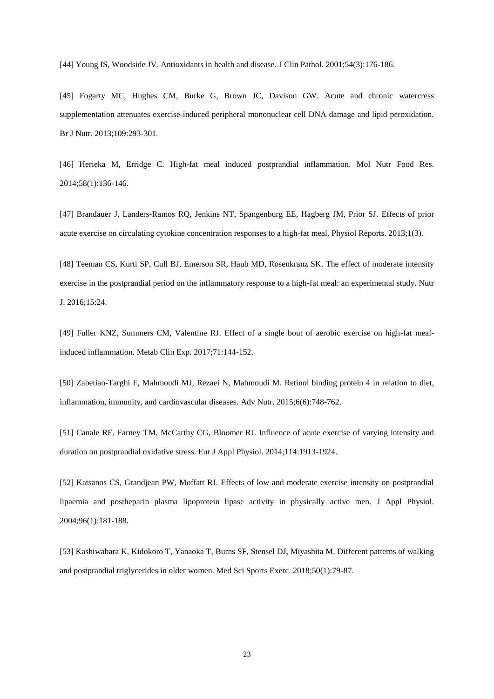[44] Young IS, Woodside JV. Antioxidants in health and disease. J Clin Pathol. 2001;54(3):176-186.

[45] Fogarty MC, Hughes CM, Burke G, Brown JC, Davison GW. Acute and chronic watercress supplementation attenuates exercise-induced peripheral mononuclear cell DNA damage and lipid peroxidation. Br J Nutr. 2013;109:293-301.

[46] Herieka M, Erridge C. High-fat meal induced postprandial inflammation. Mol Nutr Food Res. 2014;58(1):136-146.

[47] Brandauer J, Landers-Ramos RQ, Jenkins NT, Spangenburg EE, Hagberg JM, Prior SJ. Effects of prior acute exercise on circulating cytokine concentration responses to a high-fat meal. Physiol Reports. 2013;1(3).

[48] Teeman CS, Kurti SP, Cull BJ, Emerson SR, Haub MD, Rosenkranz SK. The effect of moderate intensity exercise in the postprandial period on the inflammatory response to a high-fat meal: an experimental study. Nutr J. 2016;15:24.

[49] Fuller KNZ, Summers CM, Valentine RJ. Effect of a single bout of aerobic exercise on high-fat mealinduced inflammation. Metab Clin Exp. 2017;71:144-152.

[50] Zabetian-Targhi F, Mahmoudi MJ, Rezaei N, Mahmoudi M. Retinol binding protein 4 in relation to diet, inflammation, immunity, and cardiovascular diseases. Adv Nutr. 2015;6(6):748-762.

[51] Canale RE, Farney TM, McCarthy CG, Bloomer RJ. Influence of acute exercise of varying intensity and duration on postprandial oxidative stress. Eur J Appl Physiol. 2014;114:1913-1924.

[52] Katsanos CS, Grandjean PW, Moffatt RJ. Effects of low and moderate exercise intensity on postprandial lipaemia and postheparin plasma lipoprotein lipase activity in physically active men. J Appl Physiol. 2004;96(1):181-188.

[53] Kashiwabara K, Kidokoro T, Yanaoka T, Burns SF, Stensel DJ, Miyashita M. Different patterns of walking and postprandial triglycerides in older women. Med Sci Sports Exerc. 2018;50(1):79-87.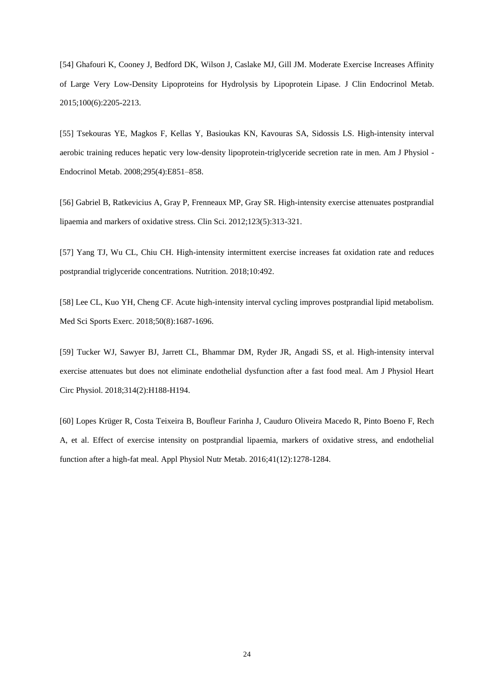[54] Ghafouri K, Cooney J, Bedford DK, Wilson J, Caslake MJ, Gill JM. Moderate Exercise Increases Affinity of Large Very Low-Density Lipoproteins for Hydrolysis by Lipoprotein Lipase. J Clin Endocrinol Metab. 2015;100(6):2205-2213.

[55] Tsekouras YE, Magkos F, Kellas Y, Basioukas KN, Kavouras SA, Sidossis LS. High-intensity interval aerobic training reduces hepatic very low-density lipoprotein-triglyceride secretion rate in men. Am J Physiol - Endocrinol Metab. 2008;295(4):E851–858.

[56] Gabriel B, Ratkevicius A, Gray P, Frenneaux MP, Gray SR. High-intensity exercise attenuates postprandial lipaemia and markers of oxidative stress. Clin Sci. 2012;123(5):313-321.

[57] Yang TJ, Wu CL, Chiu CH. High-intensity intermittent exercise increases fat oxidation rate and reduces postprandial triglyceride concentrations. Nutrition. 2018;10:492.

[58] Lee CL, Kuo YH, Cheng CF. Acute high-intensity interval cycling improves postprandial lipid metabolism. Med Sci Sports Exerc. 2018;50(8):1687-1696.

[59] Tucker WJ, Sawyer BJ, Jarrett CL, Bhammar DM, Ryder JR, Angadi SS, et al. High-intensity interval exercise attenuates but does not eliminate endothelial dysfunction after a fast food meal. Am J Physiol Heart Circ Physiol. 2018;314(2):H188-H194.

[60] Lopes Krüger R, Costa Teixeira B, Boufleur Farinha J, Cauduro Oliveira Macedo R, Pinto Boeno F, Rech A, et al. Effect of exercise intensity on postprandial lipaemia, markers of oxidative stress, and endothelial function after a high-fat meal. Appl Physiol Nutr Metab. 2016;41(12):1278-1284.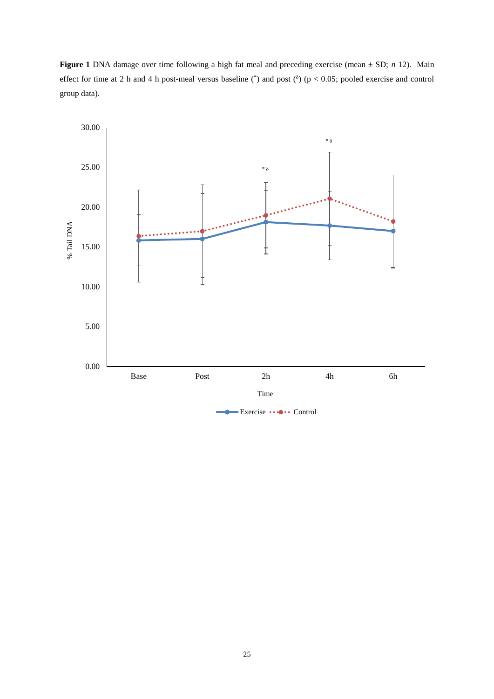**Figure 1** DNA damage over time following a high fat meal and preceding exercise (mean ± SD; *n* 12). Main effect for time at 2 h and 4 h post-meal versus baseline  $(\gamma)$  and post  $(\delta)$  (p < 0.05; pooled exercise and control group data).

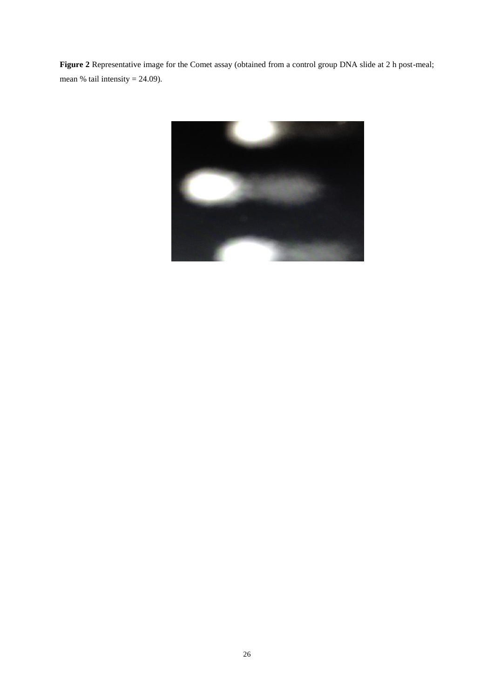**Figure 2** Representative image for the Comet assay (obtained from a control group DNA slide at 2 h post-meal; mean % tail intensity  $= 24.09$ ).

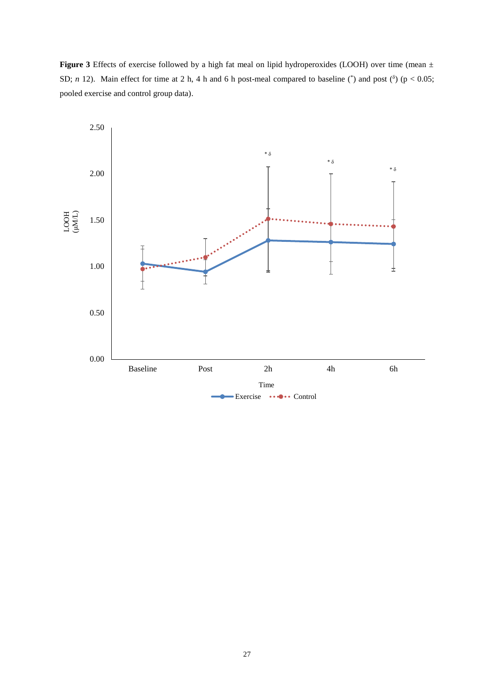**Figure 3** Effects of exercise followed by a high fat meal on lipid hydroperoxides (LOOH) over time (mean ± SD; *n* 12). Main effect for time at 2 h, 4 h and 6 h post-meal compared to baseline  $^*$  and post  $(^{\delta})$  (p < 0.05; pooled exercise and control group data).

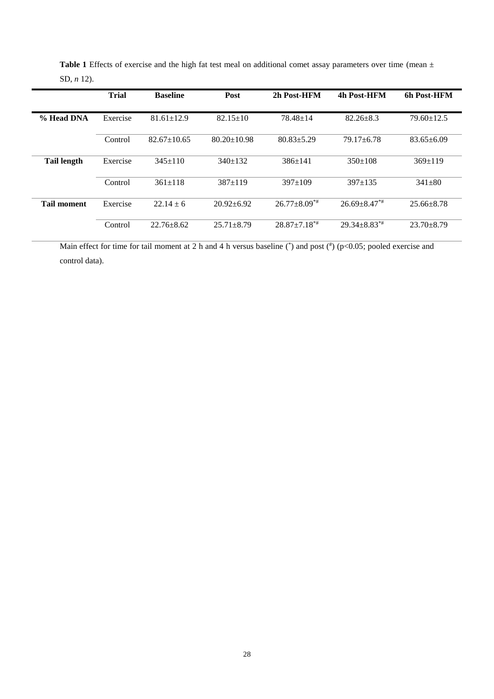|                    | <b>Trial</b> | <b>Baseline</b>   | Post              | 2h Post-HFM          | 4h Post-HFM        | 6h Post-HFM      |
|--------------------|--------------|-------------------|-------------------|----------------------|--------------------|------------------|
| % Head DNA         | Exercise     | $81.61 \pm 12.9$  | $82.15 \pm 10$    | $78.48 \pm 14$       | $82.26 + 8.3$      | $79.60 \pm 12.5$ |
|                    | Control      | $82.67 \pm 10.65$ | $80.20 \pm 10.98$ | $80.83 \pm 5.29$     | $79.17 \pm 6.78$   | $83.65 \pm 6.09$ |
| <b>Tail length</b> | Exercise     | $345+110$         | $340+132$         | $386+141$            | $350+108$          | $369+119$        |
|                    | Control      | $361 \pm 118$     | $387+119$         | $397+109$            | $397+135$          | $341\pm80$       |
| <b>Tail moment</b> | Exercise     | $22.14 \pm 6$     | $20.92 \pm 6.92$  | $26.77 + 8.09^{*}$   | $26.69 + 8.47**$   | $25.66 \pm 8.78$ |
|                    | Control      | $22.76 + 8.62$    | $25.71 + 8.79$    | $28.87 \pm 7.18^{*}$ | $29.34 + 8.83^{*}$ | $23.70 + 8.79$   |

Table 1 Effects of exercise and the high fat test meal on additional comet assay parameters over time (mean  $\pm$ SD, *n* 12).

Main effect for time for tail moment at 2 h and 4 h versus baseline  $(\ast)$  and post  $(\ast)$  (p<0.05; pooled exercise and control data).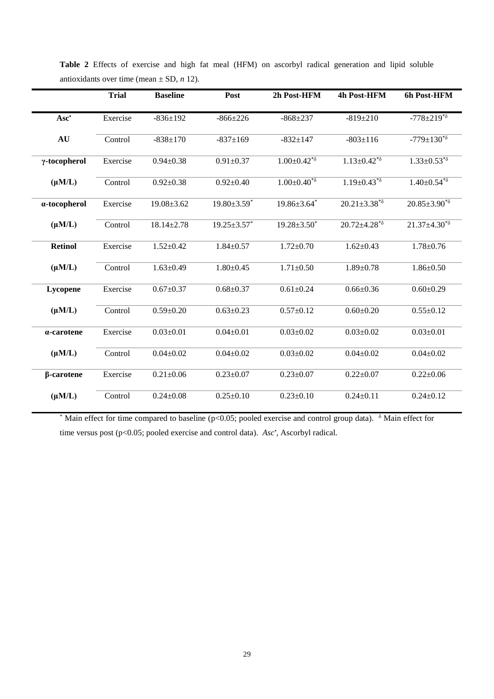|                   | <b>Trial</b> | <b>Baseline</b>  | Post               | 2h Post-HFM                          | 4h Post-HFM           | 6h Post-HFM           |
|-------------------|--------------|------------------|--------------------|--------------------------------------|-----------------------|-----------------------|
| Asc <sup>*</sup>  | Exercise     | $-836 \pm 192$   | $-866 \pm 226$     | $-868+237$                           | $-819 \pm 210$        | $-778 \pm 219^{*8}$   |
| AU                | Control      | $-838+170$       | $-837 \pm 169$     | $-832 \pm 147$                       | $-803 \pm 116$        | $-779 \pm 130^{*8}$   |
| γ-tocopherol      | Exercise     | $0.94 \pm 0.38$  | $0.91 \pm 0.37$    | $1.00 \pm 0.42^{*8}$                 | $1.13 \pm 0.42^{*8}$  | $1.33 \pm 0.53^{*8}$  |
| $(\mu M/L)$       | Control      | $0.92 \pm 0.38$  | $0.92 \pm 0.40$    | $1.00 \pm 0.40^{\overline{*}\delta}$ | $1.19 \pm 0.43^{*8}$  | $1.40 \pm 0.54^{*8}$  |
| a-tocopherol      | Exercise     | $19.08 \pm 3.62$ | $19.80 \pm 3.59$ * | $19.86 \pm 3.64$ *                   | $20.21 \pm 3.38^{*8}$ | $20.85 \pm 3.90^{*8}$ |
| $(\mu M/L)$       | Control      | $18.14 \pm 2.78$ | $19.25 \pm 3.57$ * | $19.28 \pm 3.50^*$                   | $20.72 \pm 4.28^{*8}$ | $21.37 \pm 4.30^{*8}$ |
| <b>Retinol</b>    | Exercise     | $1.52 \pm 0.42$  | $1.84 \pm 0.57$    | $1.72 \pm 0.70$                      | $1.62 \pm 0.43$       | $1.78 \pm 0.76$       |
| $(\mu M/L)$       | Control      | $1.63 \pm 0.49$  | $1.80 \pm 0.45$    | $1.71 \pm 0.50$                      | $1.89 \pm 0.78$       | $1.86 \pm 0.50$       |
| Lycopene          | Exercise     | $0.67 + 0.37$    | $0.68 \pm 0.37$    | $0.61 \pm 0.24$                      | $0.66 \pm 0.36$       | $0.60 \pm 0.29$       |
| $(\mu M/L)$       | Control      | $0.59 \pm 0.20$  | $0.63 \pm 0.23$    | $0.57 \pm 0.12$                      | $0.60 \pm 0.20$       | $0.55 \pm 0.12$       |
| a-carotene        | Exercise     | $0.03 \pm 0.01$  | $0.04 \pm 0.01$    | $0.03 \pm 0.02$                      | $0.03 \pm 0.02$       | $0.03 \pm 0.01$       |
| $(\mu M/L)$       | Control      | $0.04 \pm 0.02$  | $0.04 \pm 0.02$    | $0.03 \pm 0.02$                      | $0.04 \pm 0.02$       | $0.04 \pm 0.02$       |
| $\beta$ -carotene | Exercise     | $0.21 \pm 0.06$  | $0.23 \pm 0.07$    | $0.23 \pm 0.07$                      | $0.22 \pm 0.07$       | $0.22 \pm 0.06$       |
| $(\mu M/L)$       | Control      | $0.24 \pm 0.08$  | $0.25 \pm 0.10$    | $0.23 \pm 0.10$                      | $0.24 \pm 0.11$       | $0.24 \pm 0.12$       |

**Table 2** Effects of exercise and high fat meal (HFM) on ascorbyl radical generation and lipid soluble antioxidants over time (mean  $\pm$  SD, *n* 12).

\* Main effect for time compared to baseline ( $p$ <0.05; pooled exercise and control group data).  $\delta$  Main effect for time versus post (p<0.05; pooled exercise and control data). *Asc*<sup>*•*</sup>, Ascorbyl radical.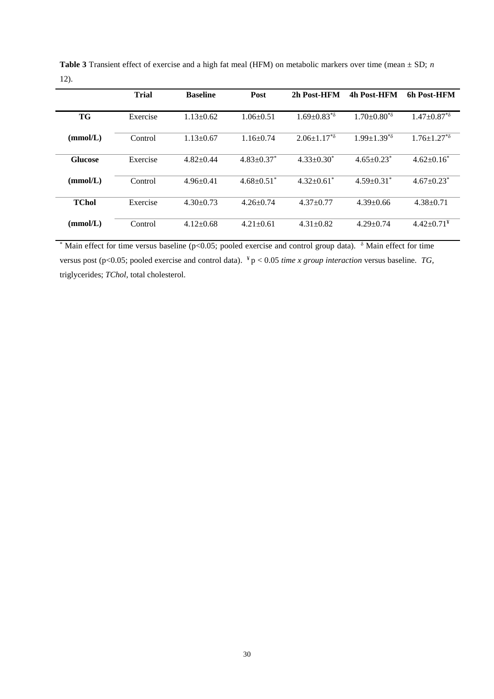|                | <b>Trial</b> | <b>Baseline</b> | Post                       | 2h Post-HFM          | 4h Post-HFM                  | 6h Post-HFM                  |
|----------------|--------------|-----------------|----------------------------|----------------------|------------------------------|------------------------------|
|                |              |                 |                            |                      |                              |                              |
| <b>TG</b>      | Exercise     | $1.13 \pm 0.62$ | $1.06 \pm 0.51$            | $1.69 \pm 0.83^{*8}$ | $1.70 \pm 0.80^{*8}$         | $1.47 \pm 0.87^{*8}$         |
|                |              |                 |                            |                      |                              |                              |
| (mmol/L)       | Control      | $1.13 \pm 0.67$ | $1.16 \pm 0.74$            | $2.06 \pm 1.17^{*8}$ | $1.99 + 1.39^{*8}$           | $1.76 \pm 1.27^{*8}$         |
|                |              |                 |                            |                      |                              |                              |
| <b>Glucose</b> | Exercise     | $4.82+0.44$     | $4.83 + 0.37^*$            | $4.33+0.30^*$        | $4.65+0.23^*$                | $4.62 \pm 0.16^*$            |
|                |              |                 |                            |                      |                              |                              |
| (mmol/L)       | Control      | $4.96 \pm 0.41$ | $4.68 + 0.51$ <sup>*</sup> | $4.32+0.61^*$        | $4.59 \pm 0.31$ <sup>*</sup> | $4.67 \pm 0.23$ <sup>*</sup> |
|                |              |                 |                            |                      |                              |                              |
| <b>TChol</b>   | Exercise     | $4.30 \pm 0.73$ | $4.26 \pm 0.74$            | $4.37 \pm 0.77$      | $4.39 + 0.66$                | $4.38 + 0.71$                |
|                |              |                 |                            |                      |                              |                              |
| (mmol/L)       | Control      | $4.12 \pm 0.68$ | $4.21 \pm 0.61$            | $4.31 + 0.82$        | $4.29 + 0.74$                | $4.42 \pm 0.71^*$            |
|                |              |                 |                            |                      |                              |                              |

**Table 3** Transient effect of exercise and a high fat meal (HFM) on metabolic markers over time (mean ± SD; *n*  12).

\* Main effect for time versus baseline (p<0.05; pooled exercise and control group data).  $\delta$  Main effect for time versus post ( $p < 0.05$ ; pooled exercise and control data). <sup>¥</sup>  $p < 0.05$  *time x group interaction* versus baseline. *TG*, triglycerides; *TChol,* total cholesterol.